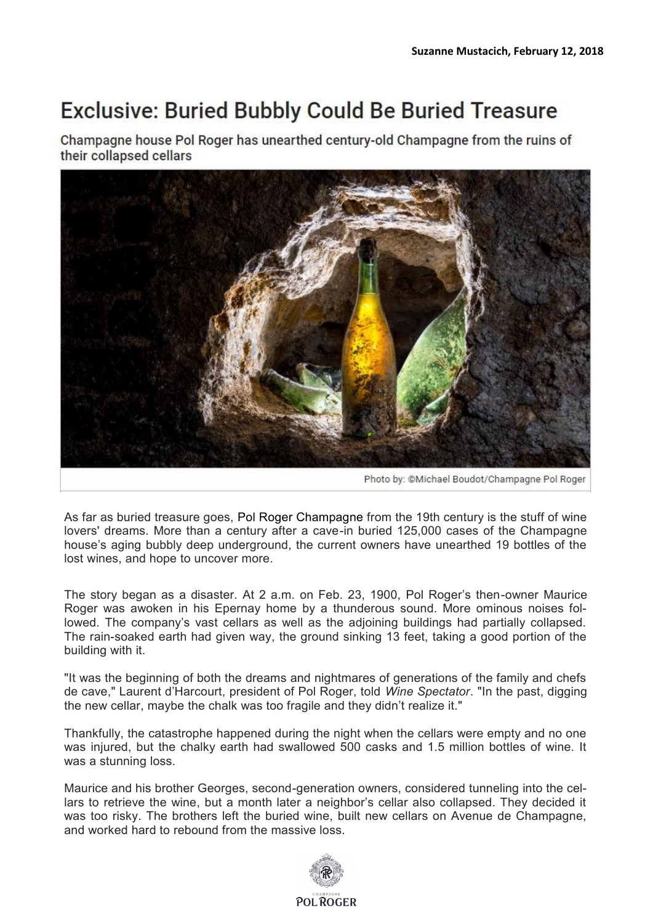## **Exclusive: Buried Bubbly Could Be Buried Treasure**

Champagne house Pol Roger has unearthed century-old Champagne from the ruins of their collapsed cellars



As far as buried treasure goes, Pol Roger Champagne from the 19th century is the stuff of wine lovers' dreams. More than a century after a cave-in buried 125,000 cases of the Champagne house's aging bubbly deep underground, the current owners have unearthed 19 bottles of the lost wines, and hope to uncover more.

The story began as a disaster. At 2 a.m. on Feb. 23, 1900, Pol Roger's then-owner Maurice Roger was awoken in his Epernay home by a thunderous sound. More ominous noises followed. The company's vast cellars as well as the adjoining buildings had partially collapsed. The rain-soaked earth had given way, the ground sinking 13 feet, taking a good portion of the building with it.

"It was the beginning of both the dreams and nightmares of generations of the family and chefs de cave," Laurent d'Harcourt, president of Pol Roger, told *Wine Spectator*. "In the past, digging the new cellar, maybe the chalk was too fragile and they didn't realize it."

Thankfully, the catastrophe happened during the night when the cellars were empty and no one was injured, but the chalky earth had swallowed 500 casks and 1.5 million bottles of wine. It was a stunning loss.

Maurice and his brother Georges, second-generation owners, considered tunneling into the cellars to retrieve the wine, but a month later a neighbor's cellar also collapsed. They decided it was too risky. The brothers left the buried wine, built new cellars on Avenue de Champagne, and worked hard to rebound from the massive loss.